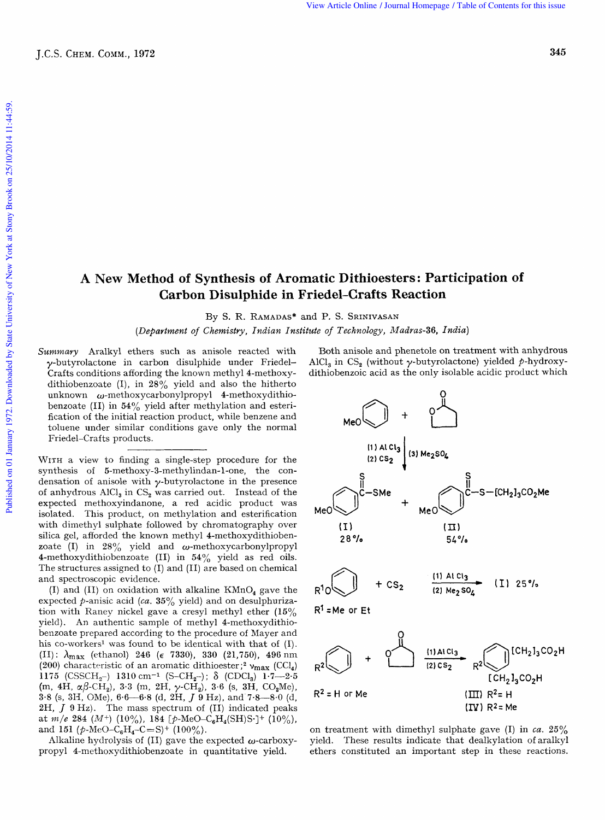## **A New Method of Synthesis of Aromatic Dithioesters: Participation of Carbon Disulphide in Friedel-Crafts Reaction**  *Madras: Participation of*<br>**Reaction**<br>*Madras-36, India*)

By S. R. **RAMADAS\***  and P. S. **SRINIVASAN** 

*(Department of Chemistry, Indian Institute of Technology,* 

*Summary* Aralkyl ethers such as anisole reacted with y-butyrolactone in carbon disulphide under Friedel-Crafts conditions affording the known methyl 4-methoxydithiobenzoate  $(I)$ , in  $28\%$  yield and also the hitherto unknown  $\omega$ -methoxycarbonylpropyl 4-methoxydithiobenzoate (II) in  $54\%$  yield after methylation and esterification of the initial reaction product, while benzene and toluene under similar conditions gave only the normal Friedel-Crafts products.

WITH a view to finding a single-step procedure for the synthesis of **5-methoxy-3-methylindan-l-one,** the condensation of anisole with  $\gamma$ -butyrolactone in the presence of anhydrous  $AICI_3$  in  $CS_2$  was carried out. Instead of the expected methoxyindanone, a red acidic product was Friedel-Crafts products.<br>
WITH a view to finding a single-step procedure for the<br>
synthesis of 5-methoxy-3-methylindan-1-one, the con-<br>
densation of anisole with  $\gamma$ -butyrolactone in the presence<br>
of anhydrous AlCl<sub>3</sub> in silica gel, afforded the known methyl 4-methoxydithiobenzoate (I) in  $28\%$  yield and  $\omega$ -methoxycarbonylpropyl 4-methoxydithiobenzoate (11) in **54%** yield as red oils. with dimethyl sulphate followed by chromatography over **(1)** (1) **(1)**<br>silica gel, afforded the known methyl 4-methoxydithioben- 28% 28% 54% The structures assigned to (I) and (11) are based on chemical and spectroscopic evidence.

(I) and (II) on oxidation with alkaline  $KMnO<sub>a</sub>$  gave the expected p-anisic acid *(ca.* **35%** yield) and on desulphurization with Raney nickel gave a cresyl methyl ether **(15%**  yield). An authentic sample of methyl 4-methoxydithiobenzoate prepared according to the procedure of Mayer and his co-workers<sup>1</sup> was found to be identical with that of (I).<br>(II):  $\lambda_{\text{max}}$  (ethanol) 246 ( $\epsilon$  7330), 330 (21,750), 496 nm (1) and (1) on oxidation with ankaine KMD<sub>4</sub> gave the<br>expected p-anisic acid (*ca*. 35% yield) and on desulphuriza-<br>tion with Raney nickel gave a cresyl methyl ether (15%  $R^1$  = Me or Et<br>yield). An authentic sample of me **(200)** characteristic of an aromatic dithioester;2 **vmax** (CC1,) **1175** (CSSCH<sub>2</sub>-) **1310** cm<sup>-1</sup> (S-CH<sub>2</sub>-);  $\delta$  (CDCl<sub>3</sub>) **1.7-2.5**  $(m, 4H, \alpha\beta\text{-CH}_2), 3.3$   $(m, 2H, \gamma\text{-CH}_2), 3.6$   $(s, 3H, \text{CO}_2\text{Me}),$ **3.8** *(s,* **313,** OMe), *6.6-6.8* (d, 2H, *J* **9 Hz),** and 7.8-8.0 (d, **2H,** *J* 9 **Hz).** The mass spectrum of (11) indicated peaks at  $m/e$  284 (M<sup>+</sup>) (10%), 184 [p-MeO-C<sub>6</sub>H<sub>4</sub>(SH)S·]<sup>+</sup> (10%), and 151 ( $p$ -MeO-C<sub>6</sub>H<sub>4</sub>-C=S)<sup>+</sup> (100%).

Alkaline hydrolysis of (II) gave the expected  $\omega$ -carboxypropyl 4-methoxydithiobenzoate in quantitative yield.

Both anisole and phenetole on treatment with anhydrous AlCl<sub>3</sub> in CS<sub>2</sub> (without  $\gamma$ -butyrolactone) yielded  $\gamma$ -hydroxy-dithiobenzoic acid as the only isolable acidic product which d P. S. SRINIVASAN<br>
ute of Technology, Madras-36, India)<br>
Both anisole and phenetole on treatment with anhydrous<br>
AlCl<sub>3</sub> in CS<sub>2</sub> (without  $\gamma$ -butyrolactone) yielded  $\hat{p}$ -hydroxy-<br>
dithiobenzoic acid as the only isol



 $R^2$  = H or Me  $(III)$   $R^2$ = H  $(TV)$  R<sup>2</sup> = Me

on treatment with dimethyl sulphate gave (I) in *ca.* **25%**  yield. 'These results indicate that dealkylation of aralkyl ethers constituted an important step in these reactions.